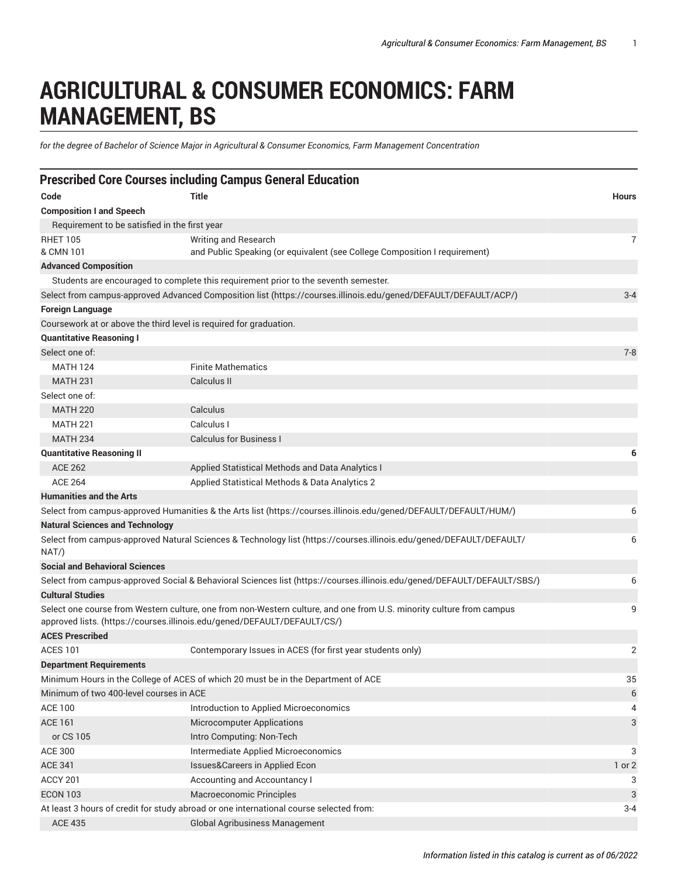## **AGRICULTURAL & CONSUMER ECONOMICS: FARM MANAGEMENT, BS**

*for the degree of Bachelor of Science Major in Agricultural & Consumer Economics, Farm Management Concentration*

|                                               | <b>Prescribed Core Courses including Campus General Education</b>                                                                                                                                |              |
|-----------------------------------------------|--------------------------------------------------------------------------------------------------------------------------------------------------------------------------------------------------|--------------|
| Code                                          | <b>Title</b>                                                                                                                                                                                     | <b>Hours</b> |
| <b>Composition I and Speech</b>               |                                                                                                                                                                                                  |              |
| Requirement to be satisfied in the first year |                                                                                                                                                                                                  |              |
| <b>RHET 105</b>                               | Writing and Research                                                                                                                                                                             | 7            |
| & CMN 101                                     | and Public Speaking (or equivalent (see College Composition I requirement)                                                                                                                       |              |
| <b>Advanced Composition</b>                   |                                                                                                                                                                                                  |              |
|                                               | Students are encouraged to complete this requirement prior to the seventh semester.                                                                                                              |              |
|                                               | Select from campus-approved Advanced Composition list (https://courses.illinois.edu/gened/DEFAULT/DEFAULT/ACP/)                                                                                  | $3 - 4$      |
| <b>Foreign Language</b>                       |                                                                                                                                                                                                  |              |
|                                               | Coursework at or above the third level is required for graduation.                                                                                                                               |              |
| <b>Quantitative Reasoning I</b>               |                                                                                                                                                                                                  |              |
| Select one of:                                |                                                                                                                                                                                                  | $7 - 8$      |
| <b>MATH 124</b>                               | <b>Finite Mathematics</b>                                                                                                                                                                        |              |
| <b>MATH 231</b>                               | Calculus II                                                                                                                                                                                      |              |
| Select one of:                                |                                                                                                                                                                                                  |              |
| <b>MATH 220</b>                               | Calculus                                                                                                                                                                                         |              |
| <b>MATH 221</b>                               | Calculus I                                                                                                                                                                                       |              |
| <b>MATH 234</b>                               | <b>Calculus for Business I</b>                                                                                                                                                                   |              |
| <b>Quantitative Reasoning II</b>              |                                                                                                                                                                                                  | 6            |
| <b>ACE 262</b>                                | Applied Statistical Methods and Data Analytics I                                                                                                                                                 |              |
| <b>ACE 264</b>                                | Applied Statistical Methods & Data Analytics 2                                                                                                                                                   |              |
| <b>Humanities and the Arts</b>                |                                                                                                                                                                                                  |              |
|                                               | Select from campus-approved Humanities & the Arts list (https://courses.illinois.edu/gened/DEFAULT/DEFAULT/HUM/)                                                                                 | 6            |
| <b>Natural Sciences and Technology</b>        |                                                                                                                                                                                                  |              |
| NAT/                                          | Select from campus-approved Natural Sciences & Technology list (https://courses.illinois.edu/gened/DEFAULT/DEFAULT/                                                                              | 6            |
| <b>Social and Behavioral Sciences</b>         |                                                                                                                                                                                                  |              |
|                                               | Select from campus-approved Social & Behavioral Sciences list (https://courses.illinois.edu/gened/DEFAULT/DEFAULT/SBS/)                                                                          | 6            |
| <b>Cultural Studies</b>                       |                                                                                                                                                                                                  |              |
|                                               | Select one course from Western culture, one from non-Western culture, and one from U.S. minority culture from campus<br>approved lists. (https://courses.illinois.edu/gened/DEFAULT/DEFAULT/CS/) | 9            |
| <b>ACES Prescribed</b>                        |                                                                                                                                                                                                  |              |
| <b>ACES 101</b>                               | Contemporary Issues in ACES (for first year students only)                                                                                                                                       | 2            |
| <b>Department Requirements</b>                |                                                                                                                                                                                                  |              |
|                                               | Minimum Hours in the College of ACES of which 20 must be in the Department of ACE                                                                                                                | 35           |
| Minimum of two 400-level courses in ACE       |                                                                                                                                                                                                  | $6\,$        |
| <b>ACE 100</b>                                | Introduction to Applied Microeconomics                                                                                                                                                           | 4            |
| <b>ACE 161</b>                                | <b>Microcomputer Applications</b>                                                                                                                                                                | 3            |
| or CS 105                                     | Intro Computing: Non-Tech                                                                                                                                                                        |              |
| <b>ACE 300</b>                                | Intermediate Applied Microeconomics                                                                                                                                                              | 3            |
| <b>ACE 341</b>                                | Issues&Careers in Applied Econ                                                                                                                                                                   | 1 or 2       |
| ACCY 201                                      | Accounting and Accountancy I                                                                                                                                                                     | 3            |
| <b>ECON 103</b>                               | Macroeconomic Principles                                                                                                                                                                         | 3            |
|                                               | At least 3 hours of credit for study abroad or one international course selected from:                                                                                                           | $3 - 4$      |
| <b>ACE 435</b>                                | Global Agribusiness Management                                                                                                                                                                   |              |